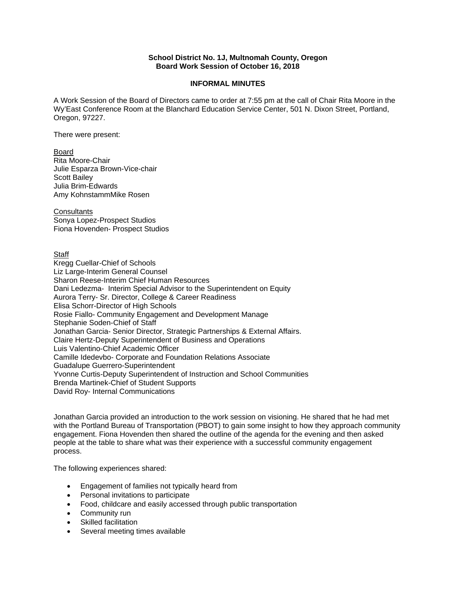## **School District No. 1J, Multnomah County, Oregon Board Work Session of October 16, 2018**

## **INFORMAL MINUTES**

A Work Session of the Board of Directors came to order at 7:55 pm at the call of Chair Rita Moore in the Wy'East Conference Room at the Blanchard Education Service Center, 501 N. Dixon Street, Portland, Oregon, 97227.

There were present:

Board Rita Moore-Chair Julie Esparza Brown-Vice-chair Scott Bailey Julia Brim-Edwards Amy KohnstammMike Rosen

**Consultants** Sonya Lopez-Prospect Studios Fiona Hovenden- Prospect Studios

**Staff** 

Kregg Cuellar-Chief of Schools Liz Large-Interim General Counsel Sharon Reese-Interim Chief Human Resources Dani Ledezma- Interim Special Advisor to the Superintendent on Equity Aurora Terry- Sr. Director, College & Career Readiness Elisa Schorr-Director of High Schools Rosie Fiallo- Community Engagement and Development Manage Stephanie Soden-Chief of Staff Jonathan Garcia- Senior Director, Strategic Partnerships & External Affairs. Claire Hertz-Deputy Superintendent of Business and Operations Luis Valentino-Chief Academic Officer Camille Idedevbo- Corporate and Foundation Relations Associate Guadalupe Guerrero-Superintendent Yvonne Curtis-Deputy Superintendent of Instruction and School Communities Brenda Martinek-Chief of Student Supports David Roy- Internal Communications

Jonathan Garcia provided an introduction to the work session on visioning. He shared that he had met with the Portland Bureau of Transportation (PBOT) to gain some insight to how they approach community engagement. Fiona Hovenden then shared the outline of the agenda for the evening and then asked people at the table to share what was their experience with a successful community engagement process.

The following experiences shared:

- Engagement of families not typically heard from
- Personal invitations to participate
- Food, childcare and easily accessed through public transportation
- Community run
- Skilled facilitation
- Several meeting times available